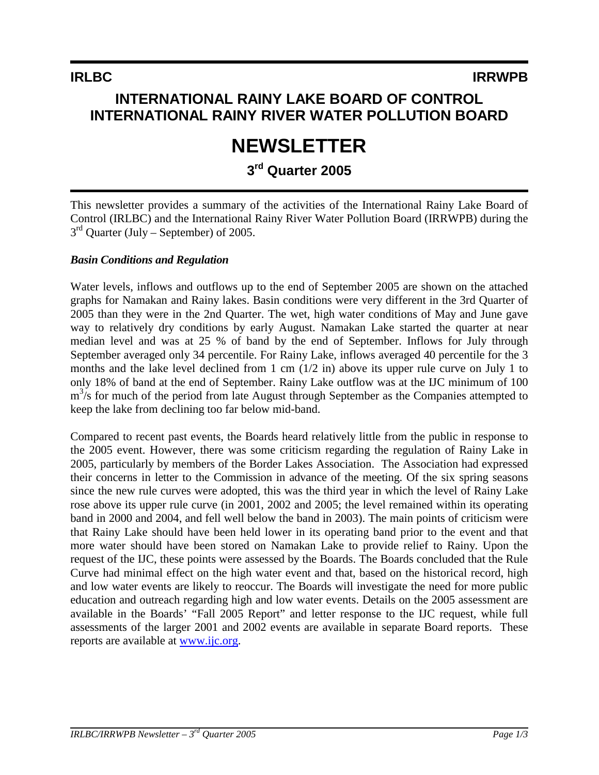## **INTERNATIONAL RAINY LAKE BOARD OF CONTROL INTERNATIONAL RAINY RIVER WATER POLLUTION BOARD**

# **NEWSLETTER**

## **3rd Quarter 2005**

This newsletter provides a summary of the activities of the International Rainy Lake Board of Control (IRLBC) and the International Rainy River Water Pollution Board (IRRWPB) during the  $3<sup>rd</sup>$  Quarter (July – September) of 2005.

#### *Basin Conditions and Regulation*

Water levels, inflows and outflows up to the end of September 2005 are shown on the attached graphs for Namakan and Rainy lakes. Basin conditions were very different in the 3rd Quarter of 2005 than they were in the 2nd Quarter. The wet, high water conditions of May and June gave way to relatively dry conditions by early August. Namakan Lake started the quarter at near median level and was at 25 % of band by the end of September. Inflows for July through September averaged only 34 percentile. For Rainy Lake, inflows averaged 40 percentile for the 3 months and the lake level declined from 1 cm (1/2 in) above its upper rule curve on July 1 to only 18% of band at the end of September. Rainy Lake outflow was at the IJC minimum of 100  $m<sup>3</sup>/s$  for much of the period from late August through September as the Companies attempted to keep the lake from declining too far below mid-band.

Compared to recent past events, the Boards heard relatively little from the public in response to the 2005 event. However, there was some criticism regarding the regulation of Rainy Lake in 2005, particularly by members of the Border Lakes Association. The Association had expressed their concerns in letter to the Commission in advance of the meeting. Of the six spring seasons since the new rule curves were adopted, this was the third year in which the level of Rainy Lake rose above its upper rule curve (in 2001, 2002 and 2005; the level remained within its operating band in 2000 and 2004, and fell well below the band in 2003). The main points of criticism were that Rainy Lake should have been held lower in its operating band prior to the event and that more water should have been stored on Namakan Lake to provide relief to Rainy. Upon the request of the IJC, these points were assessed by the Boards. The Boards concluded that the Rule Curve had minimal effect on the high water event and that, based on the historical record, high and low water events are likely to reoccur. The Boards will investigate the need for more public education and outreach regarding high and low water events. Details on the 2005 assessment are available in the Boards' "Fall 2005 Report" and letter response to the IJC request, while full assessments of the larger 2001 and 2002 events are available in separate Board reports. These reports are available at www.ijc.org.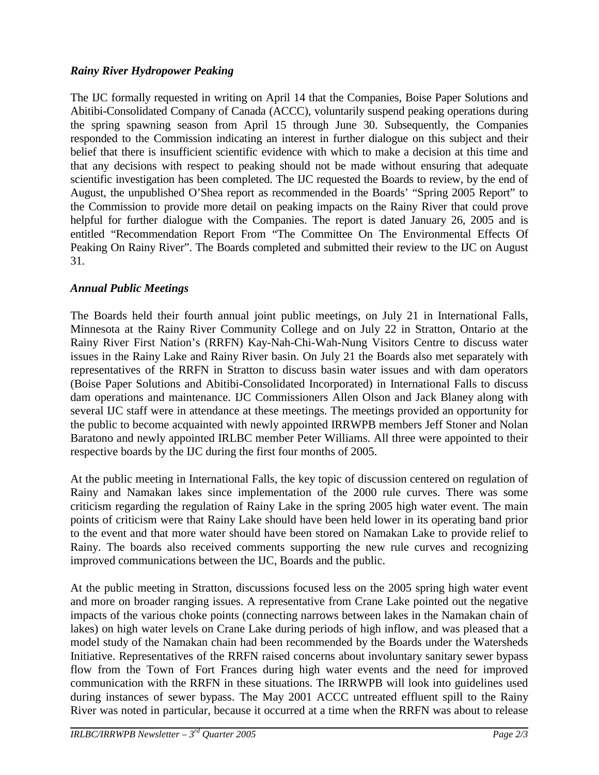#### *Rainy River Hydropower Peaking*

The IJC formally requested in writing on April 14 that the Companies, Boise Paper Solutions and Abitibi-Consolidated Company of Canada (ACCC), voluntarily suspend peaking operations during the spring spawning season from April 15 through June 30. Subsequently, the Companies responded to the Commission indicating an interest in further dialogue on this subject and their belief that there is insufficient scientific evidence with which to make a decision at this time and that any decisions with respect to peaking should not be made without ensuring that adequate scientific investigation has been completed. The IJC requested the Boards to review, by the end of August, the unpublished O'Shea report as recommended in the Boards' "Spring 2005 Report" to the Commission to provide more detail on peaking impacts on the Rainy River that could prove helpful for further dialogue with the Companies. The report is dated January 26, 2005 and is entitled "Recommendation Report From "The Committee On The Environmental Effects Of Peaking On Rainy River". The Boards completed and submitted their review to the IJC on August 31.

#### *Annual Public Meetings*

The Boards held their fourth annual joint public meetings, on July 21 in International Falls, Minnesota at the Rainy River Community College and on July 22 in Stratton, Ontario at the Rainy River First Nation's (RRFN) Kay-Nah-Chi-Wah-Nung Visitors Centre to discuss water issues in the Rainy Lake and Rainy River basin. On July 21 the Boards also met separately with representatives of the RRFN in Stratton to discuss basin water issues and with dam operators (Boise Paper Solutions and Abitibi-Consolidated Incorporated) in International Falls to discuss dam operations and maintenance. IJC Commissioners Allen Olson and Jack Blaney along with several IJC staff were in attendance at these meetings. The meetings provided an opportunity for the public to become acquainted with newly appointed IRRWPB members Jeff Stoner and Nolan Baratono and newly appointed IRLBC member Peter Williams. All three were appointed to their respective boards by the IJC during the first four months of 2005.

At the public meeting in International Falls, the key topic of discussion centered on regulation of Rainy and Namakan lakes since implementation of the 2000 rule curves. There was some criticism regarding the regulation of Rainy Lake in the spring 2005 high water event. The main points of criticism were that Rainy Lake should have been held lower in its operating band prior to the event and that more water should have been stored on Namakan Lake to provide relief to Rainy. The boards also received comments supporting the new rule curves and recognizing improved communications between the IJC, Boards and the public.

At the public meeting in Stratton, discussions focused less on the 2005 spring high water event and more on broader ranging issues. A representative from Crane Lake pointed out the negative impacts of the various choke points (connecting narrows between lakes in the Namakan chain of lakes) on high water levels on Crane Lake during periods of high inflow, and was pleased that a model study of the Namakan chain had been recommended by the Boards under the Watersheds Initiative. Representatives of the RRFN raised concerns about involuntary sanitary sewer bypass flow from the Town of Fort Frances during high water events and the need for improved communication with the RRFN in these situations. The IRRWPB will look into guidelines used during instances of sewer bypass. The May 2001 ACCC untreated effluent spill to the Rainy River was noted in particular, because it occurred at a time when the RRFN was about to release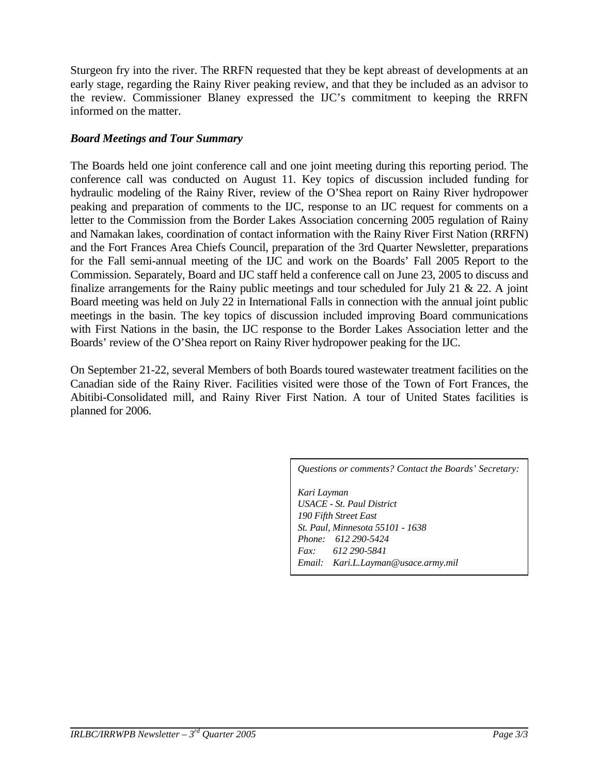Sturgeon fry into the river. The RRFN requested that they be kept abreast of developments at an early stage, regarding the Rainy River peaking review, and that they be included as an advisor to the review. Commissioner Blaney expressed the IJC's commitment to keeping the RRFN informed on the matter.

#### *Board Meetings and Tour Summary*

The Boards held one joint conference call and one joint meeting during this reporting period. The conference call was conducted on August 11. Key topics of discussion included funding for hydraulic modeling of the Rainy River, review of the O'Shea report on Rainy River hydropower peaking and preparation of comments to the IJC, response to an IJC request for comments on a letter to the Commission from the Border Lakes Association concerning 2005 regulation of Rainy and Namakan lakes, coordination of contact information with the Rainy River First Nation (RRFN) and the Fort Frances Area Chiefs Council, preparation of the 3rd Quarter Newsletter, preparations for the Fall semi-annual meeting of the IJC and work on the Boards' Fall 2005 Report to the Commission. Separately, Board and IJC staff held a conference call on June 23, 2005 to discuss and finalize arrangements for the Rainy public meetings and tour scheduled for July 21  $\&$  22. A joint Board meeting was held on July 22 in International Falls in connection with the annual joint public meetings in the basin. The key topics of discussion included improving Board communications with First Nations in the basin, the IJC response to the Border Lakes Association letter and the Boards' review of the O'Shea report on Rainy River hydropower peaking for the IJC.

On September 21-22, several Members of both Boards toured wastewater treatment facilities on the Canadian side of the Rainy River. Facilities visited were those of the Town of Fort Frances, the Abitibi-Consolidated mill, and Rainy River First Nation. A tour of United States facilities is planned for 2006.

*Questions or comments? Contact the Boards' Secretary:*

*Kari Layman USACE - St. Paul District 190 Fifth Street East St. Paul, Minnesota 55101 - 1638 Phone: 612 290-5424 Fax: 612 290-5841 Email: Kari.L.Layman@usace.army.mil*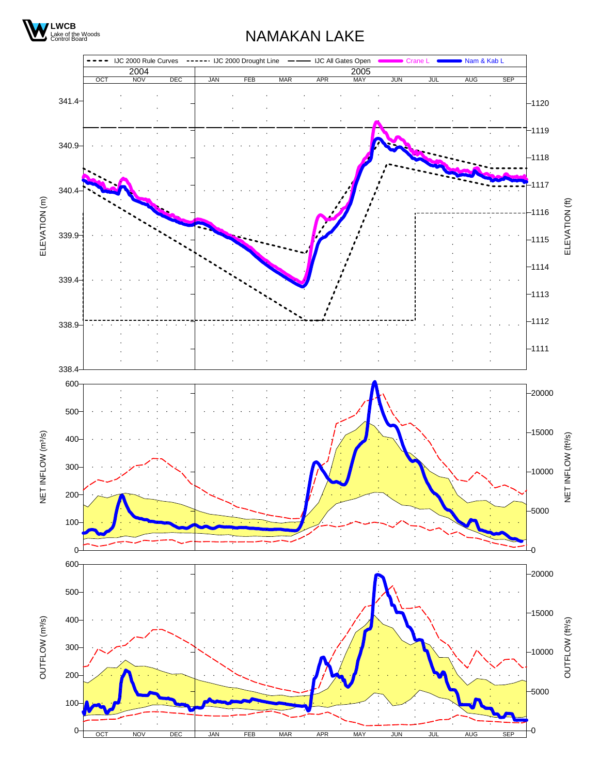

## NAMAKAN LAKE